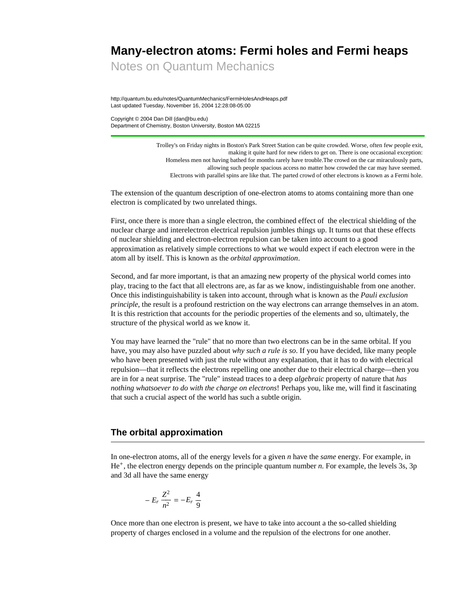# **Many-electron atoms: Fermi holes and Fermi heaps**

Notes on Quantum Mechanics

http://quantum.bu.edu/notes/QuantumMechanics/FermiHolesAndHeaps.pdf Last updated Tuesday, November 16, 2004 12:28:08-05:00

Copyright © 2004 Dan Dill (dan@bu.edu) Department of Chemistry, Boston University, Boston MA 02215

> Trolley's on Friday nights in Boston's Park Street Station can be quite crowded. Worse, often few people exit, making it quite hard for new riders to get on. There is one occasional exception: Homeless men not having bathed for months rarely have trouble.The crowd on the car miraculously parts, allowing such people spacious access no matter how crowded the car may have seemed. Electrons with parallel spins are like that. The parted crowd of other electrons is known as a Fermi hole.

The extension of the quantum description of one-electron atoms to atoms containing more than one electron is complicated by two unrelated things.

First, once there is more than a single electron, the combined effect of the electrical shielding of the nuclear charge and interelectron electrical repulsion jumbles things up. It turns out that these effects of nuclear shielding and electron-electron repulsion can be taken into account to a good approximation as relatively simple corrections to what we would expect if each electron were in the atom all by itself. This is known as the *orbital approximation*.

Second, and far more important, is that an amazing new property of the physical world comes into play, tracing to the fact that all electrons are, as far as we know, indistinguishable from one another. Once this indistinguishability is taken into account, through what is known as the *Pauli exclusion principle*, the result is a profound restriction on the way electrons can arrange themselves in an atom. It is this restriction that accounts for the periodic properties of the elements and so, ultimately, the structure of the physical world as we know it.

You may have learned the "rule" that no more than two electrons can be in the same orbital. If you have, you may also have puzzled about *why such a rule is so*. If you have decided, like many people who have been presented with just the rule without any explanation, that it has to do with electrical repulsion—that it reflects the electrons repelling one another due to their electrical charge—then you are in for a neat surprise. The "rule" instead traces to a deep *algebraic* property of nature that *has nothing whatsoever to do with the charge on electrons*! Perhaps you, like me, will find it fascinating that such a crucial aspect of the world has such a subtle origin.

# **The orbital approximation**

In one-electron atoms, all of the energy levels for a given *n* have the *same* energy. For example, in He+, the electron energy depends on the principle quantum number *n*. For example, the levels 3s, 3p and 3d all have the same energy

$$
-E_r \frac{Z^2}{n^2} = -E_r \frac{4}{9}
$$

Once more than one electron is present, we have to take into account a the so-called shielding property of charges enclosed in a volume and the repulsion of the electrons for one another.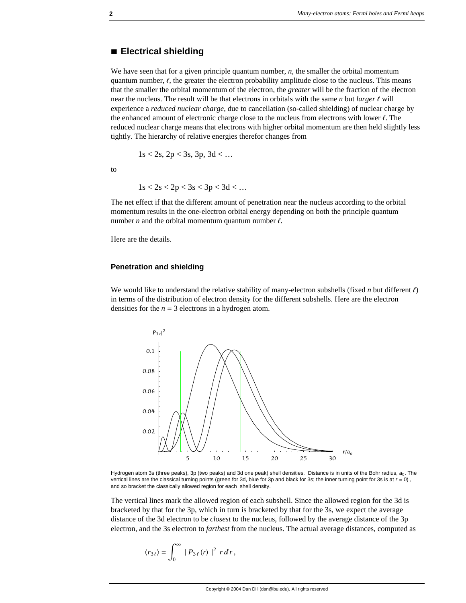#### **à Electrical shielding**

We have seen that for a given principle quantum number, *n*, the smaller the orbital momentum quantum number,  $\ell$ , the greater the electron probability amplitude close to the nucleus. This means that the smaller the orbital momentum of the electron, the *greater* will be the fraction of the electron near the nucleus. The result will be that electrons in orbitals with the same  $n$  but *larger*  $\ell$  will experience a *reduced nuclear charge*, due to cancellation (so-called shielding) of nuclear charge by the enhanced amount of electronic charge close to the nucleus from electrons with lower  $\ell$ . The reduced nuclear charge means that electrons with higher orbital momentum are then held slightly less tightly. The hierarchy of relative energies therefor changes from

$$
1s < 2s
$$
,  $2p < 3s$ ,  $3p$ ,  $3d < \dots$ 

to

$$
1s < 2s < 2p < 3s < 3p < 3d < \dots
$$

The net effect if that the different amount of penetration near the nucleus according to the orbital momentum results in the one-electron orbital energy depending on both the principle quantum number  $n$  and the orbital momentum quantum number  $\ell$ .

Here are the details.

#### **Penetration and shielding**

We would like to understand the relative stability of many-electron subshells (fixed *n* but different  $\ell$ ) in terms of the distribution of electron density for the different subshells. Here are the electron densities for the  $n = 3$  electrons in a hydrogen atom.



Hydrogen atom 3s (three peaks), 3p (two peaks) and 3d one peak) shell densities. Distance is in units of the Bohr radius, a<sub>0</sub>. The vertical lines are the classical turning points (green for 3d, blue for 3p and black for 3s; the inner turning point for 3s is at  $r = 0$ ), and so bracket the classically allowed region for each shell density.

The vertical lines mark the allowed region of each subshell. Since the allowed region for the 3d is bracketed by that for the 3p, which in turn is bracketed by that for the 3s, we expect the average distance of the 3d electron to be *closest* to the nucleus, followed by the average distance of the 3p electron, and the 3s electron to *farthest* from the nucleus. The actual average distances, computed as

$$
\langle r_{3\ell}\rangle = \int_0^\infty |P_{3\ell}(r)|^2 r dr,
$$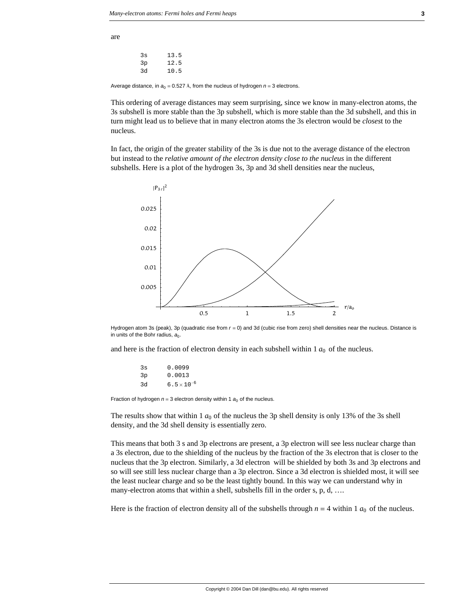are

3s 13.5 3p 12.5 3d 10.5

Average distance, in  $a_0 = 0.527$  Å, from the nucleus of hydrogen  $n = 3$  electrons.

This ordering of average distances may seem surprising, since we know in many-electron atoms, the 3s subshell is more stable than the 3p subshell, which is more stable than the 3d subshell, and this in turn might lead us to believe that in many electron atoms the 3s electron would be *closes*t to the nucleus.

In fact, the origin of the greater stability of the 3s is due not to the average distance of the electron but instead to the *relative amount of the electron density close to the nucleus* in the different subshells. Here is a plot of the hydrogen 3s, 3p and 3d shell densities near the nucleus,



Hydrogen atom 3s (peak), 3p (quadratic rise from *r* = 0) and 3d (cubic rise from zero) shell densities near the nucleus. Distance is in units of the Bohr radius,  $a_0$ .

and here is the fraction of electron density in each subshell within  $1 a_0$  of the nucleus.

| 3s | 0.0099               |
|----|----------------------|
| 3p | 0.0013               |
| 3d | $6.5 \times 10^{-6}$ |

Fraction of hydrogen  $n = 3$  electron density within 1  $a_0$  of the nucleus.

The results show that within 1  $a_0$  of the nucleus the 3p shell density is only 13% of the 3s shell density, and the 3d shell density is essentially zero.

This means that both 3 s and 3p electrons are present, a 3p electron will see less nuclear charge than a 3s electron, due to the shielding of the nucleus by the fraction of the 3s electron that is closer to the nucleus that the 3p electron. Similarly, a 3d electron will be shielded by both 3s and 3p electrons and so will see still less nuclear charge than a 3p electron. Since a 3d electron is shielded most, it will see the least nuclear charge and so be the least tightly bound. In this way we can understand why in many-electron atoms that within a shell, subshells fill in the order s, p, d, ....

Here is the fraction of electron density all of the subshells through  $n = 4$  within 1  $a_0$  of the nucleus.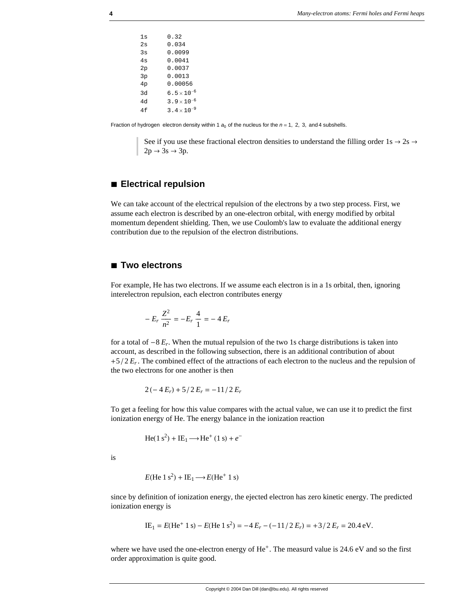1s 0.32 2s 0.034 3s 0.0099 4s 0.0041 2p 0.0037 3p 0.0013 4p 0.00056 3d 6.5 × 10<sup>-6</sup> 4d 3.9 × 10−<sup>6</sup> 4f 3.4  $\times$  10<sup>-9</sup>

Fraction of hydrogen electron density within 1  $a_0$  of the nucleus for the  $n = 1, 2, 3,$  and 4 subshells.

See if you use these fractional electron densities to understand the filling order 1s  $\rightarrow$  2s  $\rightarrow$  $2p \rightarrow 3s \rightarrow 3p$ .

## **à Electrical repulsion**

We can take account of the electrical repulsion of the electrons by a two step process. First, we assume each electron is described by an one-electron orbital, with energy modified by orbital momentum dependent shielding. Then, we use Coulomb's law to evaluate the additional energy contribution due to the repulsion of the electron distributions.

#### **à Two electrons**

For example, He has two electrons. If we assume each electron is in a 1s orbital, then, ignoring interelectron repulsion, each electron contributes energy

$$
-E_r \frac{Z^2}{n^2} = -E_r \frac{4}{1} = -4 E_r
$$

for a total of  $-8 E_r$ . When the mutual repulsion of the two 1s charge distributions is taken into account, as described in the following subsection, there is an additional contribution of about  $+5/2 E_r$ . The combined effect of the attractions of each electron to the nucleus and the repulsion of the two electrons for one another is then

$$
2(-4E_r) + 5/2E_r = -11/2E_r
$$

To get a feeling for how this value compares with the actual value, we can use it to predict the first ionization energy of He. The energy balance in the ionization reaction

$$
\text{He}(1\text{ s}^2) + \text{IE}_1 \longrightarrow \text{He}^+(1\text{ s}) + e^-
$$

is

$$
E(\text{He 1 s}^2) + \text{IE}_1 \longrightarrow E(\text{He}^+ \text{1 s})
$$

since by definition of ionization energy, the ejected electron has zero kinetic energy. The predicted ionization energy is

IE<sub>1</sub> = 
$$
E(\text{He}^+ \ 1 \text{ s}) - E(\text{He} \ 1 \text{ s}^2) = -4 E_r - (-11/2 E_r) = +3/2 E_r = 20.4 \text{ eV}.
$$

where we have used the one-electron energy of He<sup>+</sup>. The measurd value is 24.6 eV and so the first order approximation is quite good.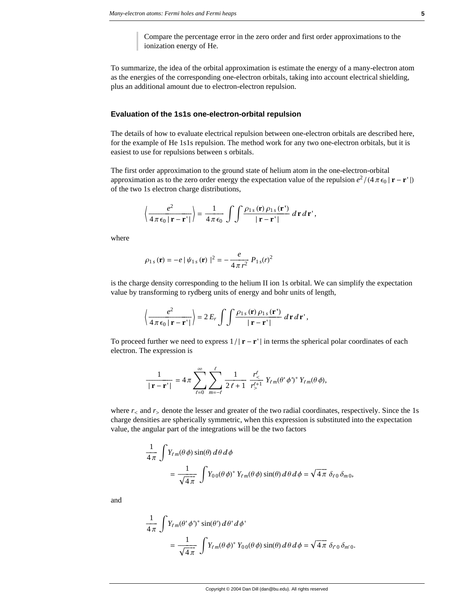Compare the percentage error in the zero order and first order approximations to the ionization energy of He.

To summarize, the idea of the orbital approximation is estimate the energy of a many-electron atom as the energies of the corresponding one-electron orbitals, taking into account electrical shielding, plus an additional amount due to electron-electron repulsion.

#### **Evaluation of the 1s1s one-electron-orbital repulsion**

The details of how to evaluate electrical repulsion between one-electron orbitals are described here, for the example of He 1s1s repulsion. The method work for any two one-electron orbitals, but it is easiest to use for repulsions between s orbitals.

The first order approximation to the ground state of helium atom in the one-electron-orbital approximation as to the zero order energy the expectation value of the repulsion  $e^2/(4 \pi \epsilon_0 |\mathbf{r} - \mathbf{r}'|)$ of the two 1s electron charge distributions,

$$
\left\langle \frac{e^2}{4\pi\epsilon_0\left|\mathbf{r}-\mathbf{r}'\right|}\right\rangle = \frac{1}{4\pi\epsilon_0}\int\int \frac{\rho_{1s}(\mathbf{r})\,\rho_{1s}(\mathbf{r}')}{|\mathbf{r}-\mathbf{r}'|}d\mathbf{r}d\mathbf{r}',
$$

where

$$
\rho_{1s}(\mathbf{r}) = -e |\psi_{1s}(\mathbf{r})|^2 = -\frac{e}{4\pi r^2} P_{1s}(r)^2
$$

is the charge density corresponding to the helium II ion 1s orbital. We can simplify the expectation value by transforming to rydberg units of energy and bohr units of length,

$$
\left\langle \frac{e^2}{4\,\pi\,\epsilon_0\,|\,\mathbf{r}-\mathbf{r}\,'}\right\rangle = 2\,E_r\,\int\int\frac{\rho_{1\,s}\,(\mathbf{r})\,\rho_{1\,s}\,(\mathbf{r}\,')}{|\,\mathbf{r}-\mathbf{r}\,'|}\,d\,\mathbf{r}\,d\,\mathbf{r}\,',
$$

To proceed further we need to express  $1/|\mathbf{r} - \mathbf{r}'|$  in terms the spherical polar coordinates of each electron. The expression is

$$
\frac{1}{|\mathbf{r}-\mathbf{r}'|} = 4\pi \sum_{\ell=0}^{\infty} \sum_{m=-\ell}^{\ell} \frac{1}{2\ell+1} \frac{r_<^{\ell}}{r_>^{\ell+1}} Y_{\ell m}(\theta' \phi')^* Y_{\ell m}(\theta \phi),
$$

where  $r_{\leq}$  and  $r_{\geq}$  denote the lesser and greater of the two radial coordinates, respectively. Since the 1s charge densities are spherically symmetric, when this expression is substituted into the expectation value, the angular part of the integrations will be the two factors

$$
\frac{1}{4\pi} \int Y_{\ell m}(\theta \phi) \sin(\theta) d\theta d\phi
$$
  
= 
$$
\frac{1}{\sqrt{4\pi}} \int Y_{00}(\theta \phi)^* Y_{\ell m}(\theta \phi) \sin(\theta) d\theta d\phi = \sqrt{4\pi} \delta_{\ell 0} \delta_{m 0},
$$

and

$$
\frac{1}{4\pi} \int Y_{\ell m}(\theta' \phi')^* \sin(\theta') d\theta' d\phi'
$$
  
= 
$$
\frac{1}{\sqrt{4\pi}} \int Y_{\ell m}(\theta \phi)^* Y_{00}(\theta \phi) \sin(\theta) d\theta d\phi = \sqrt{4\pi} \delta_{\ell 0} \delta_{m'0}.
$$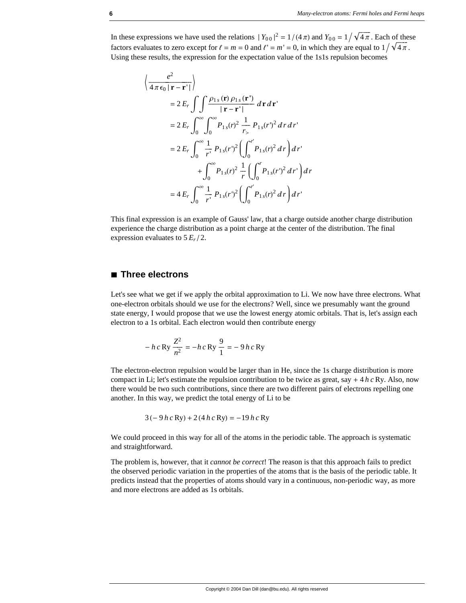In these expressions we have used the relations  $|Y_{00}|^2 = 1/(4\pi)$  and  $Y_{00} = 1/\sqrt{4\pi}$ . Each of these factors evaluates to zero except for  $\ell = m = 0$  and  $\ell' = m' = 0$ , in which they are equal to  $1/\sqrt{4\pi}$ . Using these results, the expression for the expectation value of the 1s1s repulsion becomes

$$
\left\langle \frac{e^2}{4\pi\epsilon_0 |\mathbf{r} - \mathbf{r}'|} \right\rangle
$$
  
=  $2 E_r \int \int \frac{\rho_{1s}(\mathbf{r}) \rho_{1s}(\mathbf{r}')}{|\mathbf{r} - \mathbf{r}'|} d\mathbf{r} d\mathbf{r}'$   
=  $2 E_r \int_0^\infty \int_0^\infty P_{1s}(r)^2 \frac{1}{r_s} P_{1s}(r')^2 d\mathbf{r} d\mathbf{r}'$   
=  $2 E_r \int_0^\infty \frac{1}{r'} P_{1s}(r')^2 \left( \int_0^{r'} P_{1s}(r)^2 d\mathbf{r} \right) d\mathbf{r}'$   
+  $\int_0^\infty P_{1s}(r)^2 \frac{1}{r} \left( \int_0^{r} P_{1s}(r')^2 d\mathbf{r}' \right) d\mathbf{r}'$   
=  $4 E_r \int_0^\infty \frac{1}{r'} P_{1s}(r')^2 \left( \int_0^{r'} P_{1s}(r)^2 d\mathbf{r} \right) d\mathbf{r}'$ 

This final expression is an example of Gauss' law, that a charge outside another charge distribution experience the charge distribution as a point charge at the center of the distribution. The final expression evaluates to  $5 E_r / 2$ .

### **à Three electrons**

Let's see what we get if we apply the orbital approximation to Li. We now have three electrons. What one-electron orbitals should we use for the electrons? Well, since we presumably want the ground state energy, I would propose that we use the lowest energy atomic orbitals. That is, let's assign each electron to a 1s orbital. Each electron would then contribute energy

$$
- h c \,\text{Ry} \,\frac{Z^2}{n^2} = - h c \,\text{Ry} \,\frac{9}{1} = - 9 h c \,\text{Ry}
$$

The electron-electron repulsion would be larger than in He, since the 1s charge distribution is more compact in Li; let's estimate the repulsion contribution to be twice as great, say  $+ 4 h c R y$ . Also, now there would be two such contributions, since there are two different pairs of electrons repelling one another. In this way, we predict the total energy of Li to be

$$
3(-9 h c Ry) + 2(4 h c Ry) = -19 h c Ry
$$

We could proceed in this way for all of the atoms in the periodic table. The approach is systematic and straightforward.

The problem is, however, that it *cannot be correct*! The reason is that this approach fails to predict the observed periodic variation in the properties of the atoms that is the basis of the periodic table. It predicts instead that the properties of atoms should vary in a continuous, non-periodic way, as more and more electrons are added as 1s orbitals.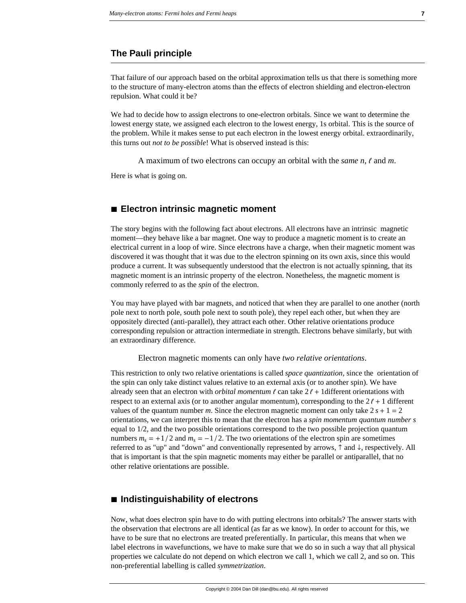# **The Pauli principle**

That failure of our approach based on the orbital approximation tells us that there is something more to the structure of many-electron atoms than the effects of electron shielding and electron-electron repulsion. What could it be?

We had to decide how to assign electrons to one-electron orbitals. Since we want to determine the lowest energy state, we assigned each electron to the lowest energy, 1s orbital. This is the source of the problem. While it makes sense to put each electron in the lowest energy orbital. extraordinarily, this turns out *not to be possible*! What is observed instead is this:

A maximum of two electrons can occupy an orbital with the *same*  $n, \ell$  and  $m$ .

Here is what is going on.

## **à Electron intrinsic magnetic moment**

The story begins with the following fact about electrons. All electrons have an intrinsic magnetic moment—they behave like a bar magnet. One way to produce a magnetic moment is to create an electrical current in a loop of wire. Since electrons have a charge, when their magnetic moment was discovered it was thought that it was due to the electron spinning on its own axis, since this would produce a current. It was subsequently understood that the electron is not actually spinning, that its magnetic moment is an intrinsic property of the electron. Nonetheless, the magnetic moment is commonly referred to as the *spin* of the electron.

You may have played with bar magnets, and noticed that when they are parallel to one another (north pole next to north pole, south pole next to south pole), they repel each other, but when they are oppositely directed (anti-parallel), they attract each other. Other relative orientations produce corresponding repulsion or attraction intermediate in strength. Electrons behave similarly, but with an extraordinary difference.

Electron magnetic moments can only have *two relative orientations*.

This restriction to only two relative orientations is called *space quantization*, since the orientation of the spin can only take distinct values relative to an external axis (or to another spin). We have already seen that an electron with *orbital momentum*  $\ell$  can take  $2\ell + 1$  different orientations with respect to an external axis (or to another angular momentum), corresponding to the  $2\ell + 1$  different values of the quantum number *m*. Since the electron magnetic moment can only take  $2s + 1 = 2$ orientations, we can interpret this to mean that the electron has a *spin momentum quantum number s* equal to 1/2, and the two possible orientations correspond to the two possible projection quantum numbers  $m_s = +1/2$  and  $m_s = -1/2$ . The two orientations of the electron spin are sometimes referred to as "up" and "down" and conventionally represented by arrows,  $\uparrow$  and  $\downarrow$ , respectively. All that is important is that the spin magnetic moments may either be parallel or antiparallel, that no other relative orientations are possible.

## **à Indistinguishability of electrons**

Now, what does electron spin have to do with putting electrons into orbitals? The answer starts with the observation that electrons are all identical (as far as we know). In order to account for this, we have to be sure that no electrons are treated preferentially. In particular, this means that when we label electrons in wavefunctions, we have to make sure that we do so in such a way that all physical properties we calculate do not depend on which electron we call 1, which we call 2, and so on. This non-preferential labelling is called *symmetrization*.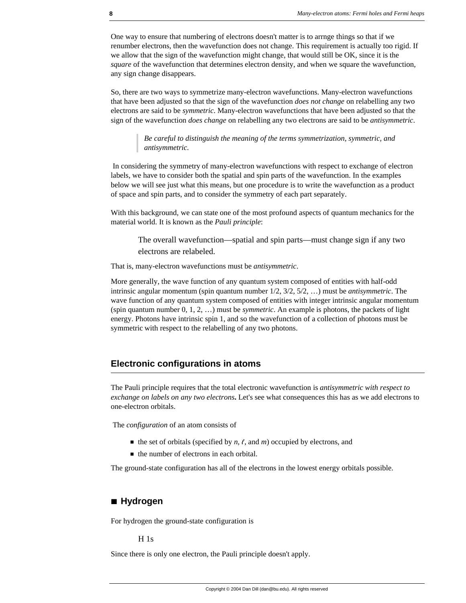One way to ensure that numbering of electrons doesn't matter is to arrnge things so that if we renumber electrons, then the wavefunction does not change. This requirement is actually too rigid. If we allow that the sign of the wavefunction might change, that would still be OK, since it is the *square* of the wavefunction that determines electron density, and when we square the wavefunction, any sign change disappears.

So, there are two ways to symmetrize many-electron wavefunctions. Many-electron wavefunctions that have been adjusted so that the sign of the wavefunction *does not change* on relabelling any two electrons are said to be *symmetric*. Many-electron wavefunctions that have been adjusted so that the sign of the wavefunction *does change* on relabelling any two electrons are said to be *antisymmetric*.

> *Be careful to distinguish the meaning of the terms symmetrization, symmetric, and antisymmetric.*

 In considering the symmetry of many-electron wavefunctions with respect to exchange of electron labels, we have to consider both the spatial and spin parts of the wavefunction. In the examples below we will see just what this means, but one procedure is to write the wavefunction as a product of space and spin parts, and to consider the symmetry of each part separately.

With this background, we can state one of the most profound aspects of quantum mechanics for the material world. It is known as the *Pauli principle*:

The overall wavefunction—spatial and spin parts—must change sign if any two electrons are relabeled.

That is, many-electron wavefunctions must be *antisymmetric*.

More generally, the wave function of any quantum system composed of entities with half-odd intrinsic angular momentum (spin quantum number 1/2, 3/2, 5/2, …) must be *antisymmetric*. The wave function of any quantum system composed of entities with integer intrinsic angular momentum (spin quantum number 0, 1, 2, …) must be *symmetric*. An example is photons, the packets of light energy. Photons have intrinsic spin 1, and so the wavefunction of a collection of photons must be symmetric with respect to the relabelling of any two photons.

# **Electronic configurations in atoms**

The Pauli principle requires that the total electronic wavefunction is *antisymmetric with respect to exchange on labels on any two electrons***.** Let's see what consequences this has as we add electrons to one-electron orbitals.

The *configuration* of an atom consists of

- $\blacksquare$  the set of orbitals (specified by *n*, *l*, and *m*) occupied by electrons, and
- $\blacksquare$  the number of electrons in each orbital.

The ground-state configuration has all of the electrons in the lowest energy orbitals possible.

#### **à Hydrogen**

For hydrogen the ground-state configuration is

H 1s

Since there is only one electron, the Pauli principle doesn't apply.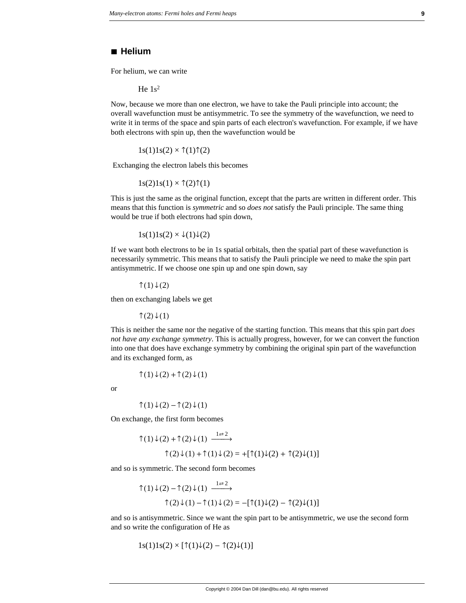#### **à Helium**

For helium, we can write

He  $1s<sup>2</sup>$ 

Now, because we more than one electron, we have to take the Pauli principle into account; the overall wavefunction must be antisymmetric. To see the symmetry of the wavefunction, we need to write it in terms of the space and spin parts of each electron's wavefunction. For example, if we have both electrons with spin up, then the wavefunction would be

 $1s(1)1s(2) \times \hat{1}(1)\hat{1}(2)$ 

Exchanging the electron labels this becomes

 $1s(2)1s(1) \times \hat{T}(2)\hat{T}(1)$ 

This is just the same as the original function, except that the parts are written in different order. This means that this function is *symmetric* and so *does not* satisfy the Pauli principle. The same thing would be true if both electrons had spin down,

 $1s(1)1s(2) \times \sqrt{1}\sqrt{2}$ 

If we want both electrons to be in 1s spatial orbitals, then the spatial part of these wavefunction is necessarily symmetric. This means that to satisfy the Pauli principle we need to make the spin part antisymmetric. If we choose one spin up and one spin down, say

↑ $(1) \downarrow (2)$ 

then on exchanging labels we get

↑ $(2) \downarrow (1)$ 

This is neither the same nor the negative of the starting function. This means that this spin part *does not have any exchange symmetry*. This is actually progress, however, for we can convert the function into one that does have exchange symmetry by combining the original spin part of the wavefunction and its exchanged form, as

$$
\uparrow(1)\downarrow(2)+\uparrow(2)\downarrow(1)
$$

or

$$
\uparrow(1)\downarrow(2)-\uparrow(2)\downarrow(1)
$$

On exchange, the first form becomes

$$
\uparrow(1)\downarrow(2) + \uparrow(2)\downarrow(1) \xrightarrow{1 \rightleftarrows} \uparrow(2)\downarrow(1) + \uparrow(1)\downarrow(2) = +[\uparrow(1)\downarrow(2) + \uparrow(2)\downarrow(1)]
$$

and so is symmetric. The second form becomes

$$
\uparrow(1)\downarrow(2) - \uparrow(2)\downarrow(1) \xrightarrow{1 \rightleftarrows} \uparrow(2)\downarrow(1) - \uparrow(1)\downarrow(2) = -[\uparrow(1)\downarrow(2) - \uparrow(2)\downarrow(1)]
$$

and so is antisymmetric. Since we want the spin part to be antisymmetric, we use the second form and so write the configuration of He as

$$
1s(1)1s(2) \times [\uparrow(1)\downarrow(2) - \uparrow(2)\downarrow(1)]
$$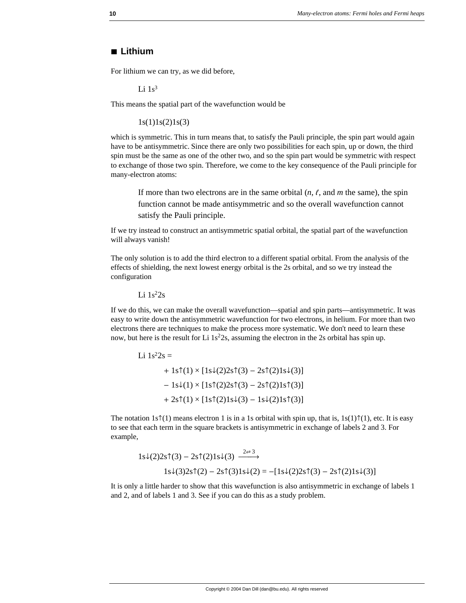## **à Lithium**

For lithium we can try, as we did before,

Li  $1s^3$ 

This means the spatial part of the wavefunction would be

 $1s(1)1s(2)1s(3)$ 

which is symmetric. This in turn means that, to satisfy the Pauli principle, the spin part would again have to be antisymmetric. Since there are only two possibilities for each spin, up or down, the third spin must be the same as one of the other two, and so the spin part would be symmetric with respect to exchange of those two spin. Therefore, we come to the key consequence of the Pauli principle for many-electron atoms:

If more than two electrons are in the same orbital  $(n, \ell, \text{ and } m$  the same), the spin function cannot be made antisymmetric and so the overall wavefunction cannot satisfy the Pauli principle.

If we try instead to construct an antisymmetric spatial orbital, the spatial part of the wavefunction will always vanish!

The only solution is to add the third electron to a different spatial orbital. From the analysis of the effects of shielding, the next lowest energy orbital is the 2s orbital, and so we try instead the configuration

Li  $1s^22s$ 

If we do this, we can make the overall wavefunction—spatial and spin parts—antisymmetric. It was easy to write down the antisymmetric wavefunction for two electrons, in helium. For more than two electrons there are techniques to make the process more systematic. We don't need to learn these now, but here is the result for Li  $1s<sup>2</sup>2s$ , assuming the electron in the 2s orbital has spin up.

Li  $1s^22s =$  $+ 1$ s $\uparrow$ (1) × [1s $\downarrow$ (2)2s $\uparrow$ (3) – 2s $\uparrow$ (2)1s $\downarrow$ (3)]  $-1s\sqrt{1} \times [1s\sqrt{2} \cdot 2s\sqrt{3}] - 2s\sqrt{2} \cdot 1s\sqrt{3}]$  $+ 2s\uparrow(1) \times [1s\uparrow(2)1s\downarrow(3) - 1s\downarrow(2)1s\uparrow(3)]$ 

The notation 1s $\hat{T}(1)$  means electron 1 is in a 1s orbital with spin up, that is, 1s(1) $\hat{T}(1)$ , etc. It is easy to see that each term in the square brackets is antisymmetric in exchange of labels 2 and 3. For example,

$$
1s\downarrow(2)2s\uparrow(3) - 2s\uparrow(2)1s\downarrow(3) \xrightarrow{2\rightleftarrows} 1s\downarrow(3)2s\uparrow(2) - 2s\uparrow(3)1s\downarrow(2) = -[1s\downarrow(2)2s\uparrow(3) - 2s\uparrow(2)1s\downarrow(3)]
$$

It is only a little harder to show that this wavefunction is also antisymmetric in exchange of labels 1 and 2, and of labels 1 and 3. See if you can do this as a study problem.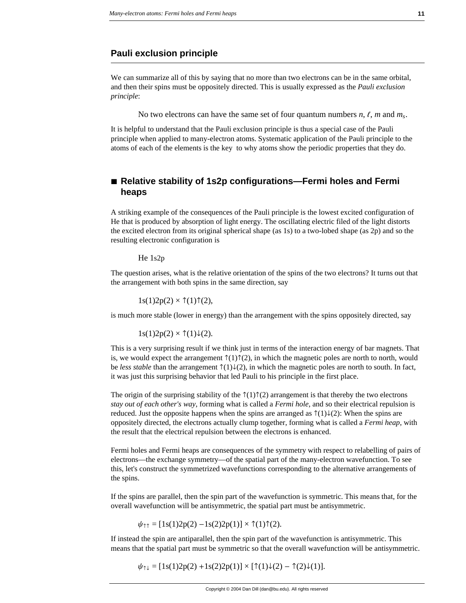## **Pauli exclusion principle**

We can summarize all of this by saying that no more than two electrons can be in the same orbital, and then their spins must be oppositely directed. This is usually expressed as the *Pauli exclusion principle*:

No two electrons can have the same set of four quantum numbers  $n, \ell, m$  and  $m_s$ .

It is helpful to understand that the Pauli exclusion principle is thus a special case of the Pauli principle when applied to many-electron atoms. Systematic application of the Pauli principle to the atoms of each of the elements is the key to why atoms show the periodic properties that they do.

# **à Relative stability of 1s2p configurations—Fermi holes and Fermi heaps**

A striking example of the consequences of the Pauli principle is the lowest excited configuration of He that is produced by absorption of light energy. The oscillating electric filed of the light distorts the excited electron from its original spherical shape (as 1s) to a two-lobed shape (as 2p) and so the resulting electronic configuration is

He 1s2p

The question arises, what is the relative orientation of the spins of the two electrons? It turns out that the arrangement with both spins in the same direction, say

 $1s(1)2p(2) \times \uparrow(1)\uparrow(2)$ ,

is much more stable (lower in energy) than the arrangement with the spins oppositely directed, say

 $1s(1)2p(2) \times \uparrow(1)\downarrow(2)$ .

This is a very surprising result if we think just in terms of the interaction energy of bar magnets. That is, we would expect the arrangement  $\hat{\tau}(1)\hat{\tau}(2)$ , in which the magnetic poles are north to north, would be *less stable* than the arrangement  $\hat{\tau}(1)\hat{\psi}(2)$ , in which the magnetic poles are north to south. In fact, it was just this surprising behavior that led Pauli to his principle in the first place.

The origin of the surprising stability of the  $\hat{\tau}(1)\hat{\tau}(2)$  arrangement is that thereby the two electrons *stay out of each other's way*, forming what is called a *Fermi hole*, and so their electrical repulsion is reduced. Just the opposite happens when the spins are arranged as  $\hat{\tau}(1)\downarrow(2)$ : When the spins are oppositely directed, the electrons actually clump together, forming what is called a *Fermi heap*, with the result that the electrical repulsion between the electrons is enhanced.

Fermi holes and Fermi heaps are consequences of the symmetry with respect to relabelling of pairs of electrons—the exchange symmetry—of the spatial part of the many-electron wavefunction. To see this, let's construct the symmetrized wavefunctions corresponding to the alternative arrangements of the spins.

If the spins are parallel, then the spin part of the wavefunction is symmetric. This means that, for the overall wavefunction will be antisymmetric, the spatial part must be antisymmetric.

$$
\psi_{\uparrow\uparrow} = [1s(1)2p(2) - 1s(2)2p(1)] \times \uparrow(1)\uparrow(2).
$$

If instead the spin are antiparallel, then the spin part of the wavefunction is antisymmetric. This means that the spatial part must be symmetric so that the overall wavefunction will be antisymmetric.

 $\psi_{\uparrow\downarrow} = [1s(1)2p(2) + 1s(2)2p(1)] \times [\uparrow(1)\downarrow(2) - \uparrow(2)\downarrow(1)].$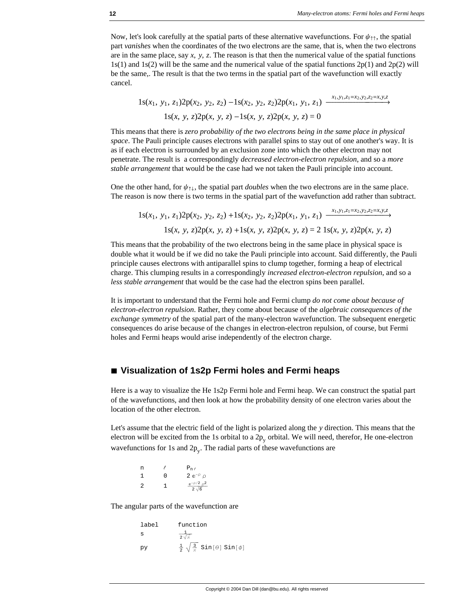Now, let's look carefully at the spatial parts of these alternative wavefunctions. For  $\psi_{\uparrow\uparrow}$ , the spatial part *vanishes* when the coordinates of the two electrons are the same, that is, when the two electrons are in the same place, say  $x$ ,  $y$ ,  $z$ . The reason is that then the numerical value of the spatial functions  $1s(1)$  and  $1s(2)$  will be the same and the numerical value of the spatial functions  $2p(1)$  and  $2p(2)$  will be the same,. The result is that the two terms in the spatial part of the wavefunction will exactly cancel.

 $1s(x_1, y_1, z_1)2p(x_2, y_2, z_2) - 1s(x_2, y_2, z_2)2p(x_1, y_1, z_1) \xrightarrow{x_1, y_1, z_1=x_2, y_2, z_2=x, y, z_2}$  $1s(x, y, z)2p(x, y, z) -1s(x, y, z)2p(x, y, z) = 0$ 

This means that there is *zero probability of the two electrons being in the same place in physical space*. The Pauli principle causes electrons with parallel spins to stay out of one another's way. It is as if each electron is surrounded by an exclusion zone into which the other electron may not penetrate. The result is a correspondingly *decreased electron-electron repulsion*, and so a *more stable arrangement* that would be the case had we not taken the Pauli principle into account.

One the other hand, for  $\psi_{\uparrow\downarrow}$ , the spatial part *doubles* when the two electrons are in the same place. The reason is now there is two terms in the spatial part of the wavefunction add rather than subtract.

 $1s(x_1, y_1, z_1)2p(x_2, y_2, z_2) + 1s(x_2, y_2, z_2)2p(x_1, y_1, z_1) \xrightarrow{x_1, y_1, z_1=x_2, y_2, z_2=x, y, z_1}$ 1s(*x*, *y*, *z*)2p(*x*, *y*, *z*) +1s(*x*, *y*, *z*)2p(*x*, *y*, *z*) = 2 1s(*x*, *y*, *z*)2p(*x*, *y*, *z*)

This means that the probability of the two electrons being in the same place in physical space is double what it would be if we did no take the Pauli principle into account. Said differently, the Pauli principle causes electrons with antiparallel spins to clump together, forming a heap of electrical charge. This clumping results in a correspondingly *increased electron-electron repulsion*, and so a *less stable arrangement* that would be the case had the electron spins been parallel.

It is important to understand that the Fermi hole and Fermi clump *do not come about because of electron-electron repulsion*. Rather, they come about because of the *algebraic consequences of the exchange symmetry* of the spatial part of the many-electron wavefunction. The subsequent energetic consequences do arise because of the changes in electron-electron repulsion, of course, but Fermi holes and Fermi heaps would arise independently of the electron charge.

### **à Visualization of 1s2p Fermi holes and Fermi heaps**

Here is a way to visualize the He 1s2p Fermi hole and Fermi heap. We can construct the spatial part of the wavefunctions, and then look at how the probability density of one electron varies about the location of the other electron.

Let's assume that the electric field of the light is polarized along the *y* direction. This means that the electron will be excited from the 1s orbital to a  $2p_v$  orbital. We will need, therefor, He one-electron wavefunctions for 1s and  $2p_y$ . The radial parts of these wavefunctions are

| n |   | $P_{n\ell}$                           |
|---|---|---------------------------------------|
| 1 | U | 2 $e^{-\rho}$ $\rho$                  |
| 2 | 1 | $e^{-\rho/2}$ $\rho^2$<br>$2\sqrt{6}$ |

The angular parts of the wavefunction are

| label | function                                                   |
|-------|------------------------------------------------------------|
| s     | $2\sqrt{\pi}$                                              |
| рv    | $\frac{1}{2} \sqrt{\frac{3}{\pi}} \sin[\theta] \sin[\phi]$ |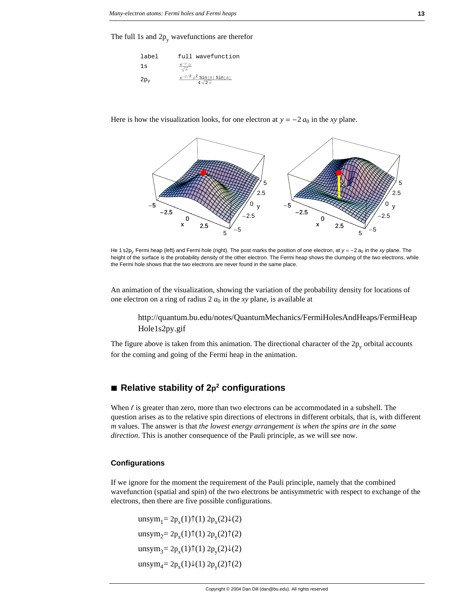The full 1s and  $2p_y$  wavefunctions are therefor

| label  | full wavefunction                                              |
|--------|----------------------------------------------------------------|
| 1s     | $\frac{e^{-\rho} \rho}{\sqrt{\pi}}$                            |
| $2p_v$ | $e^{-\rho/2} \rho^2 \sin[\theta] \sin[\phi]$<br>$4\sqrt{2}\pi$ |

Here is how the visualization looks, for one electron at  $y = -2 a_0$  in the *xy* plane.



He 1 s2p<sub>y</sub> Fermi heap (left) and Fermi hole (right). The post marks the position of one electron, at  $y = -2a_0$  in the *xy* plane. The height of the surface is the probability density of the other electron. The Fermi heap shows the clumping of the two electrons, while the Fermi hole shows that the two electrons are never found in the same place.

An animation of the visualization, showing the variation of the probability density for locations of one electron on a ring of radius  $2 a_0$  in the *xy* plane, is available at

http://quantum.bu.edu/notes/QuantumMechanics/FermiHolesAndHeaps/FermiHeap Hole1s2py.gif

The figure above is taken from this animation. The directional character of the  $2p_y$  orbital accounts for the coming and going of the Fermi heap in the animation.

# ■ **Relative stability of 2p<sup>2</sup> configurations**

When  $\ell$  is greater than zero, more than two electrons can be accommodated in a subshell. The question arises as to the relative spin directions of electrons in different orbitals, that is, with different *m* values. The answer is that *the lowest energy arrangement is when the spins are in the same direction*. This is another consequence of the Pauli principle, as we will see now.

#### **Configurations**

If we ignore for the moment the requirement of the Pauli principle, namely that the combined wavefunction (spatial and spin) of the two electrons be antisymmetric with respect to exchange of the electrons, then there are five possible configurations.

unsym<sub>1</sub>=  $2p_x(1)$  $\uparrow$ (1)  $2p_x(2) \downarrow$ (2) unsym<sub>2</sub>= 2p<sub>x</sub>(1) $\uparrow$ (1) 2p<sub>y</sub>(2) $\uparrow$ (2) unsym<sub>3</sub>=  $2p_x(1)$  $\uparrow$ (1)  $2p_y(2) \downarrow$ (2) unsym<sub>4</sub>=  $2p_x(1)\downarrow(1) 2p_y(2)\uparrow(2)$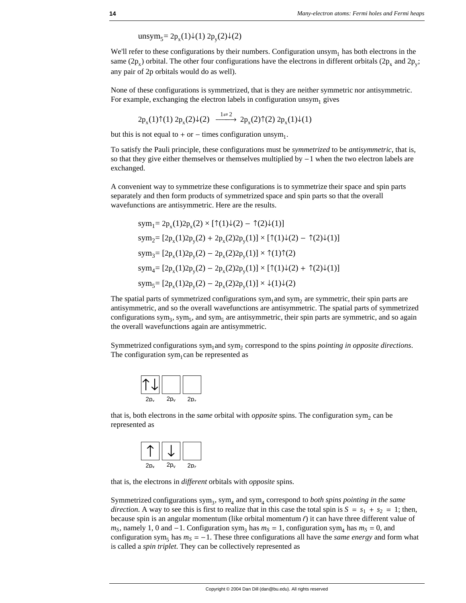unsym<sub>5</sub>= 2p<sub>x</sub>(1)↓(1) 2p<sub>y</sub>(2)↓(2)

We'll refer to these configurations by their numbers. Configuration  $unsym<sub>1</sub>$  has both electrons in the same (2p<sub>x</sub>) orbital. The other four configurations have the electrons in different orbitals (2p<sub>x</sub> and 2p<sub>y</sub>; any pair of 2p orbitals would do as well).

None of these configurations is symmetrized, that is they are neither symmetric nor antisymmetric. For example, exchanging the electron labels in configuration unsym<sub>1</sub> gives

$$
2p_x(1)\uparrow(1) 2p_x(2)\downarrow(2) \xrightarrow{1\rightleftarrows} 2p_x(2)\uparrow(2) 2p_x(1)\downarrow(1)
$$

but this is not equal to  $+$  or  $-$  times configuration unsym<sub>1</sub>.

To satisfy the Pauli principle, these configurations must be *symmetrized* to be *antisymmetric*, that is, so that they give either themselves or themselves multiplied by  $-1$  when the two electron labels are exchanged.

A convenient way to symmetrize these configurations is to symmetrize their space and spin parts separately and then form products of symmetrized space and spin parts so that the overall wavefunctions are antisymmetric. Here are the results.

$$
sym_1 = 2p_x(1)2p_x(2) \times [\uparrow(1)\downarrow(2) - \uparrow(2)\downarrow(1)]
$$
  
\n
$$
sym_2 = [2p_x(1)2p_y(2) + 2p_x(2)2p_y(1)] \times [\uparrow(1)\downarrow(2) - \uparrow(2)\downarrow(1)]
$$
  
\n
$$
sym_3 = [2p_x(1)2p_y(2) - 2p_x(2)2p_y(1)] \times \uparrow(1)\uparrow(2)
$$
  
\n
$$
sym_4 = [2p_x(1)2p_y(2) - 2p_x(2)2p_y(1)] \times [\uparrow(1)\downarrow(2) + \uparrow(2)\downarrow(1)]
$$
  
\n
$$
sym_5 = [2p_x(1)2p_y(2) - 2p_x(2)2p_y(1)] \times \downarrow(1)\downarrow(2)
$$

The spatial parts of symmetrized configurations sym<sub>1</sub> and sym<sub>2</sub> are symmetric, their spin parts are antisymmetric, and so the overall wavefunctions are antisymmetric. The spatial parts of symmetrized configurations sym<sub>3</sub>, sym<sub>5</sub>, and sym<sub>5</sub> are antisymmetric, their spin parts are symmetric, and so again the overall wavefunctions again are antisymmetric.

Symmetrized configurations sym<sub>1</sub> and sym<sub>2</sub> correspond to the spins *pointing in opposite directions*. The configuration sym<sub>1</sub>can be represented as

| $2p_{v}$ | $2p_v$ | 2p <sub>7</sub> |
|----------|--------|-----------------|

that is, both electrons in the *same* orbital with *opposite* spins. The configuration sym<sub>2</sub> can be represented as



that is, the electrons in *different* orbitals with *opposite* spins.

Symmetrized configurations sym<sub>3</sub>, sym<sub>4</sub> and sym<sub>4</sub> correspond to *both spins pointing in the same direction*. A way to see this is first to realize that in this case the total spin is  $S = s_1 + s_2 = 1$ ; then, because spin is an angular momentum (like orbital momentum  $\ell$ ) it can have three different value of  $m<sub>S</sub>$ , namely 1, 0 and -1. Configuration sym<sub>3</sub> has  $m<sub>S</sub> = 1$ , configuration sym<sub>4</sub> has  $m<sub>S</sub> = 0$ , and configuration sym<sub>5</sub> has  $m<sub>S</sub> = -1$ . These three configurations all have the *same energy* and form what is called a *spin triplet*. They can be collectively represented as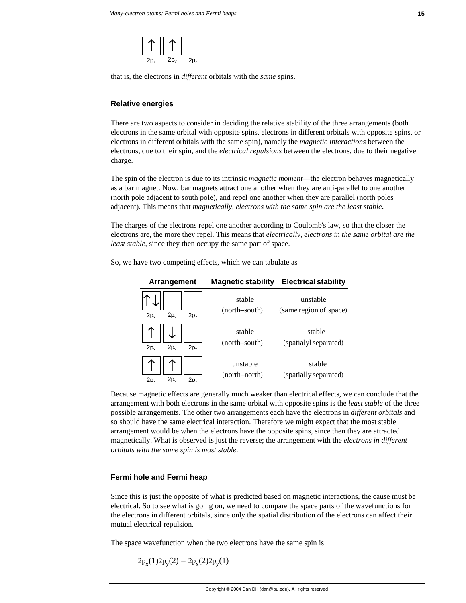

that is, the electrons in *different* orbitals with the *same* spins.

#### **Relative energies**

There are two aspects to consider in deciding the relative stability of the three arrangements (both electrons in the same orbital with opposite spins, electrons in different orbitals with opposite spins, or electrons in different orbitals with the same spin), namely the *magnetic interactions* between the electrons, due to their spin, and the *electrical repulsions* between the electrons, due to their negative charge.

The spin of the electron is due to its intrinsic *magnetic moment*—the electron behaves magnetically as a bar magnet. Now, bar magnets attract one another when they are anti-parallel to one another (north pole adjacent to south pole), and repel one another when they are parallel (north poles adjacent). This means that *magnetically, electrons with the same spin are the least stable***.**

The charges of the electrons repel one another according to Coulomb's law, so that the closer the electrons are, the more they repel. This means that *electrically, electrons in the same orbital are the least stable*, since they then occupy the same part of space.

So, we have two competing effects, which we can tabulate as

| Arrangement                                    | <b>Magnetic stability</b> | <b>Electrical stability</b>        |
|------------------------------------------------|---------------------------|------------------------------------|
| $2p_{v}$<br>2p <sub>v</sub><br>2p <sub>z</sub> | stable<br>(north-south)   | unstable<br>(same region of space) |
| $2p_{v}$<br>2p <sub>v</sub><br>2p <sub>7</sub> | stable<br>(north-south)   | stable<br>(spatialyl separated)    |
| $2p_v$<br>2p <sub>v</sub><br>2p,               | unstable<br>(north–north) | stable<br>(spatially separated)    |

Because magnetic effects are generally much weaker than electrical effects, we can conclude that the arrangement with both electrons in the same orbital with opposite spins is the *least stable* of the three possible arrangements. The other two arrangements each have the electrons in *different orbitals* and so should have the same electrical interaction. Therefore we might expect that the most stable arrangement would be when the electrons have the opposite spins, since then they are attracted magnetically. What is observed is just the reverse; the arrangement with the *electrons in different orbitals with the same spin is most stable*.

#### **Fermi hole and Fermi heap**

Since this is just the opposite of what is predicted based on magnetic interactions, the cause must be electrical. So to see what is going on, we need to compare the space parts of the wavefunctions for the electrons in different orbitals, since only the spatial distribution of the electrons can affect their mutual electrical repulsion.

The space wavefunction when the two electrons have the same spin is

$$
2p_x(1)2p_y(2) - 2p_x(2)2p_y(1)
$$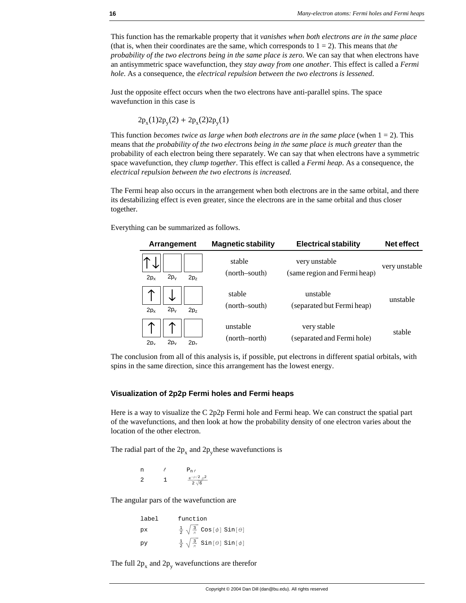This function has the remarkable property that it *vanishes when both electrons are in the same place* (that is, when their coordinates are the same, which corresponds to  $1 = 2$ ). This means that *the probability of the two electrons being in the same place is zero*. We can say that when electrons have an antisymmetric space wavefunction, they *stay away from one another*. This effect is called a *Fermi hole*. As a consequence, the *electrical repulsion between the two electrons is lessened*.

Just the opposite effect occurs when the two electrons have anti-parallel spins. The space wavefunction in this case is

$$
2p_x(1)2p_y(2) + 2p_x(2)2p_y(1)
$$

This function *becomes twice as large when both electrons are in the same place* (when  $1 = 2$ ). This means that *the probability of the two electrons being in the same place is much greater* than the probability of each electron being there separately. We can say that when electrons have a symmetric space wavefunction, they *clump together*. This effect is called a *Fermi heap*. As a consequence, the *electrical repulsion between the two electrons is increased*.

The Fermi heap also occurs in the arrangement when both electrons are in the same orbital, and there its destabilizing effect is even greater, since the electrons are in the same orbital and thus closer together.

Everything can be summarized as follows.

| Arrangement                                  | <b>Magnetic stability</b> | <b>Electrical stability</b>                   | <b>Net effect</b> |
|----------------------------------------------|---------------------------|-----------------------------------------------|-------------------|
| $2p_v$<br>2p <sub>v</sub><br>2p <sub>7</sub> | stable<br>(north–south)   | very unstable<br>(same region and Fermi heap) | very unstable     |
| $2p_v$<br>2p <sub>v</sub><br>2p <sub>7</sub> | stable<br>(north–south)   | unstable<br>(separated but Fermi heap)        | unstable          |
| $2p_v$<br>2p <sub>v</sub><br>2p <sub>7</sub> | unstable<br>(north–north) | very stable<br>(separated and Fermi hole)     | stable            |

The conclusion from all of this analysis is, if possible, put electrons in different spatial orbitals, with spins in the same direction, since this arrangement has the lowest energy.

#### **Visualization of 2p2p Fermi holes and Fermi heaps**

Here is a way to visualize the C 2p2p Fermi hole and Fermi heap. We can construct the spatial part of the wavefunctions, and then look at how the probability density of one electron varies about the location of the other electron.

The radial part of the  $2p_x$  and  $2p_y$ these wavefunctions is

n  $\ell$  P<sub>n  $\ell$ </sub> 2 1  $\frac{e^{-\rho/2} \rho^2}{2 \sqrt{6}}$ 

The angular pars of the wavefunction are

| label | function                                                           |
|-------|--------------------------------------------------------------------|
| pх    | $\frac{1}{2}$ $\sqrt{\frac{3}{\pi}}$ Cos[ $\phi$ ] Sin[ $\theta$ ] |
| py    | $\frac{1}{2} \sqrt{\frac{3}{\pi}}$ Sin[ $\theta$ ] Sin[ $\phi$ ]   |

The full  $2p_x$  and  $2p_y$  wavefunctions are therefor